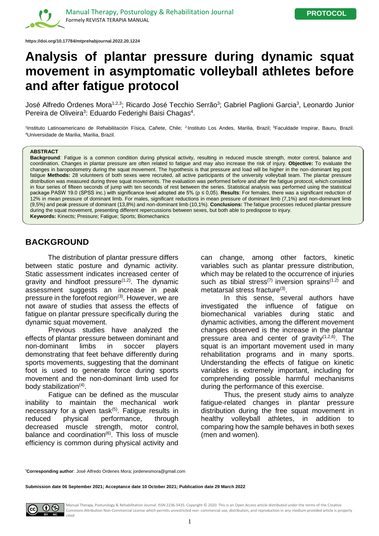

**https://doi.org/10.17784/mtprehabjournal.2022.20.1224**

# **Analysis of plantar pressure during dynamic squat movement in asymptomatic volleyball athletes before and after fatigue protocol**

José Alfredo Órdenes Mora<sup>1,2,3</sup>; Ricardo José Tecchio Serrão<sup>3</sup>; Gabriel Paglioni Garcia<sup>3</sup>, Leonardo Junior Pereira de Oliveira<sup>3</sup>: Eduardo Federighi Baisi Chagas<sup>4</sup>.

<sup>1</sup>Instituto Latinoamericano de Rehabilitación Física, Cañete, Chile; <sup>2</sup>Instituto Los Andes, Marilia, Brazil; <sup>3</sup>Faculdade Inspirar, Bauru, Brazil. <sup>4</sup>Universidade de Marilia, Marilia, Brazil.

#### **ABSTRACT**

**Background**: Fatigue is a common condition during physical activity, resulting in reduced muscle strength, motor control, balance and coordination. Changes in plantar pressure are often related to fatigue and may also increase the risk of injury. **Objective:** To evaluate the changes in baropodometry during the squat movement. The hypothesis is that pressure and load will be higher in the non-dominant leg post fatigue Methods: 28 volunteers of both sexes were recruited, all active participants of the university volleyball team. The plantar pressure distribution was measured during three squat movements. The evaluation was performed before and after the fatigue protocol, which consisted in four series of fifteen seconds of jump with ten seconds of rest between the series. Statistical analysis was performed using the statistical package PASW 19.0 (SPSS inc.) with significance level adopted ate 5% (p ≤ 0,05). **Results**: For females, there was a significant reduction of 12% in mean pressure of dominant limb. For males, significant reductions in mean pressure of dominant limb (7,1%) and non-dominant limb (9,5%) and peak pressure of dominant (13,8%) and non-dominant limb (10,1%). **Conclusions:** The fatigue processes reduced plantar pressure during the squat movement, presenting different repercussions between sexes, but both able to predispose to injury. **Keywords:** Kinects; Pressure; Fatigue; Sports; Biomechanics

### **BACKGROUND**

The distribution of plantar pressure differs between static posture and dynamic activity. Static assessment indicates increased center of gravity and hindfoot pressure $(1,2)$ . The dynamic assessment suggests an increase in peak pressure in the forefoot region $(3)$ . However, we are not aware of studies that assess the effects of fatigue on plantar pressure specifically during the dynamic squat movement.

Previous studies have analyzed the effects of plantar pressure between dominant and non-dominant limbs in soccer players demonstrating that feet behave differently during sports movements, suggesting that the dominant foot is used to generate force during sports movement and the non-dominant limb used for body stabilization<sup>(4)</sup>.

Fatigue can be defined as the muscular inability to maintain the mechanical work necessary for a given task $(5)$ . Fatigue results in reduced physical performance, through decreased muscle strength, motor control, balance and coordination $(6)$ . This loss of muscle efficiency is common during physical activity and

can change, among other factors, kinetic variables such as plantar pressure distribution, which may be related to the occurrence of injuries such as tibial stress<sup>(7)</sup> inversion sprains<sup> $(1,2)$ </sup> and metatarsal stress fracture<sup>(3)</sup>.

In this sense, several authors have investigated the influence of fatigue on biomechanical variables during static and dynamic activities, among the different movement changes observed is the increase in the plantar pressure area and center of gravity<sup>(1,2,6)</sup>. The squat is an important movement used in many rehabilitation programs and in many sports. Understanding the effects of fatigue on kinetic variables is extremely important, including for comprehending possible harmful mechanisms during the performance of this exercise.

Thus, the present study aims to analyze fatigue-related changes in plantar pressure distribution during the free squat movement in healthy volleyball athletes, in addition to comparing how the sample behaves in both sexes (men and women).

**\*Corresponding author**: José Alfredo Ordenes Mora; jordenesmora@gmail.com

**Submission date 06 September 2021; Acceptance date 10 October 2021; Publication date 29 March 2022**



Manual Therapy, Posturology & Rehabilitation Journal. ISSN 2236-5435. Copyright © 2020. This is an Open Access article distributed under the terms of the Creative Commons Attribution Non-Commercial License which permits unrestricted non- commercial use, distribution, and reproduction in any medium provided article is properly  $\blacksquare$  cited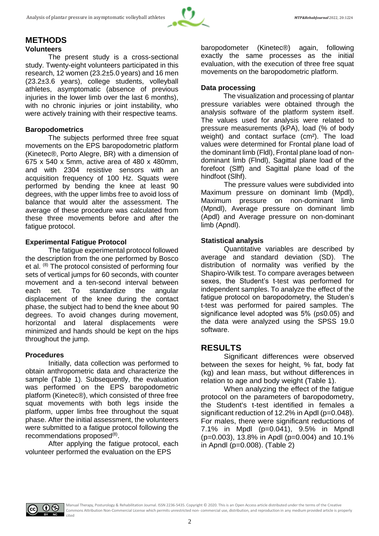

#### **METHODS Volunteers**

The present study is a cross-sectional study. Twenty-eight volunteers participated in this research, 12 women (23.2±5.0 years) and 16 men (23.2±3.6 years), college students, volleyball athletes, asymptomatic (absence of previous injuries in the lower limb over the last 6 months), with no chronic injuries or joint instability, who were actively training with their respective teams.

#### **Baropodometrics**

The subjects performed three free squat movements on the EPS baropodometric platform (Kinetec®, Porto Alegre, BR) with a dimension of 675 x 540 x 5mm, active area of 480 x 480mm, and with 2304 resistive sensors with an acquisition frequency of 100 Hz. Squats were performed by bending the knee at least 90 degrees, with the upper limbs free to avoid loss of balance that would alter the assessment. The average of these procedure was calculated from these three movements before and after the fatigue protocol.

#### **Experimental Fatigue Protocol**

The fatigue experimental protocol followed the description from the one performed by Bosco et al. <sup>(8)</sup> The protocol consisted of performing four sets of vertical jumps for 60 seconds, with counter movement and a ten-second interval between each set. To standardize the angular displacement of the knee during the contact phase, the subject had to bend the knee about 90 degrees. To avoid changes during movement, horizontal and lateral displacements were minimized and hands should be kept on the hips throughout the jump.

#### **Procedures**

Initially, data collection was performed to obtain anthropometric data and characterize the sample (Table 1). Subsequently, the evaluation was performed on the EPS baropodometric platform (Kinetec®), which consisted of three free squat movements with both legs inside the platform, upper limbs free throughout the squat phase. After the initial assessment, the volunteers were submitted to a fatigue protocol following the recommendations proposed<sup>(8)</sup>.

After applying the fatigue protocol, each volunteer performed the evaluation on the EPS

baropodometer (Kinetec®) again, following exactly the same processes as the initial evaluation, with the execution of three free squat movements on the baropodometric platform.

#### **Data processing**

The visualization and processing of plantar pressure variables were obtained through the analysis software of the platform system itself. The values used for analysis were related to pressure measurements (kPA), load (% of body weight) and contact surface (cm²). The load values were determined for Frontal plane load of the dominant limb (Fldl), Frontal plane load of nondominant limb (Flndl), Sagittal plane load of the forefoot (Slff) and Sagittal plane load of the hindfoot (Slhf).

The pressure values were subdivided into Maximum pressure on dominant limb (Mpdl), Maximum pressure on non-dominant limb (Mpndl), Average pressure on dominant limb (Apdl) and Average pressure on non-dominant limb (Apndl).

#### **Statistical analysis**

Quantitative variables are described by average and standard deviation (SD). The distribution of normality was verified by the Shapiro-Wilk test. To compare averages between sexes, the Student's t-test was performed for independent samples. To analyze the effect of the fatigue protocol on baropodometry, the Studen's t-test was performed for paired samples. The significance level adopted was 5% (p≤0.05) and the data were analyzed using the SPSS 19.0 software.

### **RESULTS**

Significant differences were observed between the sexes for height, % fat, body fat (kg) and lean mass, but without differences in relation to age and body weight (Table 1).

When analyzing the effect of the fatigue protocol on the parameters of baropodometry, the Student's t-test identified in females a significant reduction of 12.2% in Apdl (p=0.048). For males, there were significant reductions of 7.1% in Mpdl (p=0.041), 9.5% in Mpndl (p=0.003), 13.8% in Apdl (p=0.004) and 10.1% in Apndl (p=0.008). (Table 2)

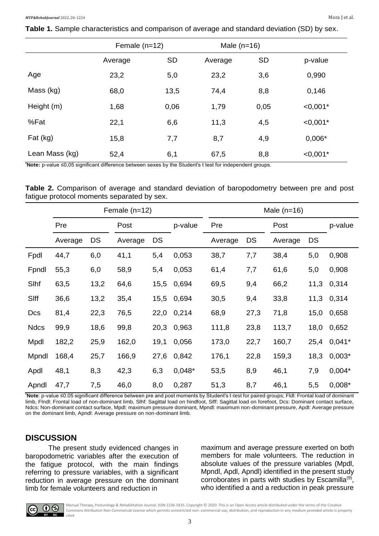**Table 1.** Sample characteristics and comparison of average and standard deviation (SD) by sex.

|                | Female $(n=12)$ |           | Male $(n=16)$ |           |            |
|----------------|-----------------|-----------|---------------|-----------|------------|
|                | Average         | <b>SD</b> | Average       | <b>SD</b> | p-value    |
| Age            | 23,2            | 5,0       | 23,2          | 3,6       | 0,990      |
| Mass (kg)      | 68,0            | 13,5      | 74,4          | 8,8       | 0,146      |
| Height (m)     | 1,68            | 0,06      | 1,79          | 0,05      | $< 0,001*$ |
| %Fat           | 22,1            | 6,6       | 11,3          | 4,5       | $< 0,001*$ |
| Fat (kg)       | 15,8            | 7,7       | 8,7           | 4,9       | $0,006*$   |
| Lean Mass (kg) | 52,4            | 6,1       | 67,5          | 8,8       | $< 0,001*$ |

**\*Note:** p-value ≤0,05 significant difference between sexes by the Student's t test for independent groups.

|  |                                            |  |  |  | Table 2. Comparison of average and standard deviation of baropodometry between pre and post |  |  |
|--|--------------------------------------------|--|--|--|---------------------------------------------------------------------------------------------|--|--|
|  | fatigue protocol moments separated by sex. |  |  |  |                                                                                             |  |  |

|             |         |      | Female $(n=12)$ |      |          | Male $(n=16)$ |      |         |           |          |  |  |
|-------------|---------|------|-----------------|------|----------|---------------|------|---------|-----------|----------|--|--|
|             | Pre     |      | Post            |      | p-value  | Pre           |      | Post    |           | p-value  |  |  |
|             | Average | DS   | Average         | DS   |          | Average       | DS   | Average | <b>DS</b> |          |  |  |
| Fpdl        | 44,7    | 6,0  | 41,1            | 5,4  | 0,053    | 38,7          | 7,7  | 38,4    | 5,0       | 0,908    |  |  |
| Fpndl       | 55,3    | 6,0  | 58,9            | 5,4  | 0,053    | 61,4          | 7,7  | 61,6    | 5,0       | 0,908    |  |  |
| Slhf        | 63,5    | 13,2 | 64,6            | 15,5 | 0,694    | 69,5          | 9,4  | 66,2    | 11,3      | 0,314    |  |  |
| Slff        | 36,6    | 13,2 | 35,4            | 15,5 | 0,694    | 30,5          | 9,4  | 33,8    | 11,3      | 0,314    |  |  |
| Dcs         | 81,4    | 22,3 | 76,5            | 22,0 | 0,214    | 68,9          | 27,3 | 71,8    | 15,0      | 0,658    |  |  |
| <b>Ndcs</b> | 99,9    | 18,6 | 99,8            | 20,3 | 0,963    | 111,8         | 23,8 | 113,7   | 18,0      | 0,652    |  |  |
| Mpdl        | 182,2   | 25,9 | 162,0           | 19,1 | 0,056    | 173,0         | 22,7 | 160,7   | 25,4      | $0,041*$ |  |  |
| Mpndl       | 168,4   | 25,7 | 166,9           | 27,6 | 0,842    | 176,1         | 22,8 | 159,3   | 18,3      | $0,003*$ |  |  |
| Apdl        | 48,1    | 8,3  | 42,3            | 6,3  | $0,048*$ | 53,5          | 8,9  | 46,1    | 7,9       | $0,004*$ |  |  |
| Apndl       | 47,7    | 7,5  | 46,0            | 8,0  | 0,287    | 51,3          | 8,7  | 46,1    | 5,5       | $0,008*$ |  |  |

**\*Note**: p-value ≤0.05 significant difference between pre and post moments by Student's t-test for paired groups; Fldl: Frontal load of dominant limb, Flndl: Frontal load of non-dominant limb, Slhf: Sagittal load on hindfoot, Slff: Sagittal load on forefoot, Dcs: Dominant contact surface, Ndcs: Non-dominant contact surface, Mpdl: maximum pressure dominant, Mpndl: maximum non-dominant pressure, Apdl: Average pressure on the dominant limb, Apndl: Average pressure on non-dominant limb.

#### **DISCUSSION**

The present study evidenced changes in baropodometric variables after the execution of the fatigue protocol, with the main findings referring to pressure variables, with a significant reduction in average pressure on the dominant limb for female volunteers and reduction in

maximum and average pressure exerted on both members for male volunteers. The reduction in absolute values of the pressure variables (Mpdl, Mpndl, Apdl, Apndl) identified in the present study corroborates in parts with studies by Escamilla<sup>(9)</sup>, who identified a and a reduction in peak pressure



Manual Therapy, Posturology & Rehabilitation Journal. ISSN 2236-5435. Copyright © 2020. This is an Open Access article distributed under the terms of the Creative Commons Attribution Non-Commercial License which permits unrestricted non- commercial use, distribution, and reproduction in any medium provided article is properly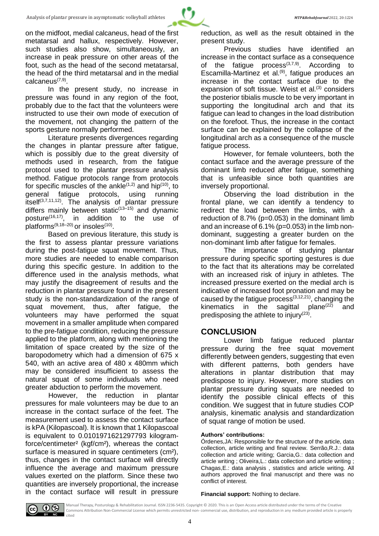In the present study, no increase in pressure was found in any region of the foot, probably due to the fact that the volunteers were instructed to use their own mode of execution of the movement, not changing the pattern of the sports gesture normally performed.

Literature presents divergences regarding the changes in plantar pressure after fatigue, which is possibly due to the great diversity of methods used in research, from the fatigue protocol used to the plantar pressure analysis method. Fatigue protocols range from protocols for specific muscles of the ankle<sup> $(1,2)$ </sup> and hip<sup> $(10)$ </sup>, to general fatigue protocols, using running general fatigue protocols, using running itself(3,7,11,12). The analysis of plantar pressure differs mainly between static $(13-15)$  and dynamic posture<sup>(16,17)</sup>, in addition to the use of platforms<sup>(9,18–20)</sup> or insoles<sup>(10)</sup>.

Based on previous literature, this study is the first to assess plantar pressure variations during the post-fatigue squat movement. Thus, more studies are needed to enable comparison during this specific gesture. In addition to the difference used in the analysis methods, what may justify the disagreement of results and the reduction in plantar pressure found in the present study is the non-standardization of the range of squat movement, thus, after fatigue, the volunteers may have performed the squat movement in a smaller amplitude when compared to the pre-fatigue condition, reducing the pressure applied to the platform, along with mentioning the limitation of space created by the size of the baropodometry which had a dimension of 675 x 540, with an active area of 480 x 480mm which may be considered insufficient to assess the natural squat of some individuals who need greater abduction to perform the movement.

However, the reduction in plantar pressures for male volunteers may be due to an increase in the contact surface of the feet. The measurement used to assess the contact surface is kPA (Kilopascoal). It is known that 1 Kilopascoal is equivalent to 0.0101971621297793 kilogramforce/centimeter² (kgf/cm²), whereas the contact surface is measured in square centimeters (cm<sup>2</sup>), thus, changes in the contact surface will directly influence the average and maximum pressure values exerted on the platform. Since these two quantities are inversely proportional, the increase in the contact surface will result in pressure

reduction, as well as the result obtained in the present study.

Previous studies have identified an increase in the contact surface as a consequence of the fatigue process $(3,7,9)$ . According to Escamilla-Martinez et al.(9), fatigue produces an increase in the contact surface due to the expansion of soft tissue. Weist et al.<sup>(3)</sup> considers the posterior tibialis muscle to be very important in supporting the longitudinal arch and that its fatigue can lead to changes in the load distribution on the forefoot. Thus, the increase in the contact surface can be explained by the collapse of the longitudinal arch as a consequence of the muscle fatigue process.

However, for female volunteers, both the contact surface and the average pressure of the dominant limb reduced after fatigue, something that is unfeasible since both quantities are inversely proportional.

Observing the load distribution in the frontal plane, we can identify a tendency to redirect the load between the limbs, with a reduction of 8.7% (p=0.053) in the dominant limb and an increase of 6.1% (p=0.053) in the limb nondominant, suggesting a greater burden on the non-dominant limb after fatigue for females.

The importance of studying plantar pressure during specific sporting gestures is due to the fact that its alterations may be correlated with an increased risk of injury in athletes. The increased pressure exerted on the medial arch is indicative of increased foot pronation and may be caused by the fatigue process $(3,12,21)$ , changing the kinematics in the sagittal plane<sup>(22)</sup> and predisposing the athlete to injury<sup>(23)</sup>.

### **CONCLUSION**

Lower limb fatigue reduced plantar pressure during the free squat movement differently between genders, suggesting that even with different patterns, both genders have alterations in plantar distribution that may predispose to injury. However, more studies on plantar pressure during squats are needed to identify the possible clinical effects of this condition. We suggest that in future studies COP analysis, kinematic analysis and standardization of squat range of motion be used.

#### **Authors' contributions:**

Órdenes,JA: Responsible for the structure of the article, data collection, article writing and final review. Serrão,R.J.: data collection and article writing; Garcia,G.: data collection and article writing ; Oliveira,L.: data collection and article writing ; Chagas,E.: data analysis , statistics and article writing. All authors approved the final manuscript and there was no conflict of interest.

**Financial support:** Nothing to declare.



Manual Therapy, Posturology & Rehabilitation Journal. ISSN 2236-5435. Copyright © 2020. This is an Open Access article distributed under the terms of the Creative Commons Attribution Non-Commercial License which permits unrestricted non- commercial use, distribution, and reproduction in any medium provided article is properly

4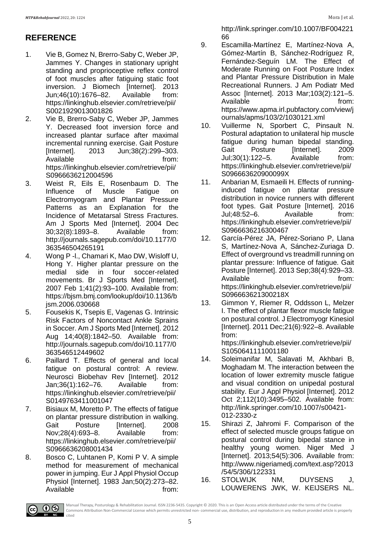## **REFERENCE**

- 1. Vie B, Gomez N, Brerro-Saby C, Weber JP, Jammes Y. Changes in stationary upright standing and proprioceptive reflex control of foot muscles after fatiguing static foot inversion. J Biomech [Internet]. 2013 Jun;46(10):1676–82. Available from: https://linkinghub.elsevier.com/retrieve/pii/ S0021929013001826
- 2. Vie B, Brerro-Saby C, Weber JP, Jammes Y. Decreased foot inversion force and increased plantar surface after maximal incremental running exercise. Gait Posture [Internet]. 2013 Jun;38(2):299–303. Available **from:** https://linkinghub.elsevier.com/retrieve/pii/ S0966636212004596
- 3. Weist R, Eils E, Rosenbaum D. The<br>Influence of Muscle Fatique on Influence of Muscle Fatigue on Electromyogram and Plantar Pressure Patterns as an Explanation for the Incidence of Metatarsal Stress Fractures. Am J Sports Med [Internet]. 2004 Dec 30;32(8):1893–8. Available from: http://journals.sagepub.com/doi/10.1177/0 363546504265191
- 4. Wong P -l., Chamari K, Mao DW, Wisloff U, Hong Y. Higher plantar pressure on the medial side in four soccer-related movements. Br J Sports Med [Internet]. 2007 Feb 1;41(2):93–100. Available from: https://bjsm.bmj.com/lookup/doi/10.1136/b jsm.2006.030668
- 5. Fousekis K, Tsepis E, Vagenas G. Intrinsic Risk Factors of Noncontact Ankle Sprains in Soccer. Am J Sports Med [Internet]. 2012 Aug 14;40(8):1842–50. Available from: http://journals.sagepub.com/doi/10.1177/0 363546512449602
- 6. Paillard T. Effects of general and local fatigue on postural control: A review. Neurosci Biobehav Rev [Internet]. 2012 Jan;36(1):162–76. Available from: https://linkinghub.elsevier.com/retrieve/pii/ S0149763411001047
- 7. Bisiaux M, Moretto P. The effects of fatigue on plantar pressure distribution in walking. Gait Posture [Internet]. 2008 Nov;28(4):693–8. Available from: https://linkinghub.elsevier.com/retrieve/pii/ S0966636208001434
- 8. Bosco C, Luhtanen P, Komi P V. A simple method for measurement of mechanical power in jumping. Eur J Appl Physiol Occup Physiol [Internet]. 1983 Jan;50(2):273–82. Available from:

http://link.springer.com/10.1007/BF004221 66

- 9. Escamilla-Martínez E, Martínez-Nova A, Gómez-Martín B, Sánchez-Rodríguez R, Fernández-Seguín LM. The Effect of Moderate Running on Foot Posture Index and Plantar Pressure Distribution in Male Recreational Runners. J Am Podiatr Med Assoc [Internet]. 2013 Mar;103(2):121–5. Available from: https://www.apma.irl.pubfactory.com/view/j ournals/apms/103/2/1030121.xml
- 10. Vuillerme N, Sporbert C, Pinsault N. Postural adaptation to unilateral hip muscle fatigue during human bipedal standing. Gait Posture [Internet]. 2009 Jul;30(1):122–5. Available from: https://linkinghub.elsevier.com/retrieve/pii/ S096663620900099X
- 11. Anbarian M, Esmaeili H. Effects of runninginduced fatigue on plantar pressure distribution in novice runners with different foot types. Gait Posture [Internet]. 2016 Jul;48:52–6. Available from: https://linkinghub.elsevier.com/retrieve/pii/ S0966636216300467
- 12. García-Pérez JA, Pérez-Soriano P, Llana S, Martínez-Nova A, Sánchez-Zuriaga D. Effect of overground vs treadmill running on plantar pressure: Influence of fatigue. Gait Posture [Internet]. 2013 Sep;38(4):929–33. Available from: https://linkinghub.elsevier.com/retrieve/pii/ S096663621300218X
- 13. Gimmon Y, Riemer R, Oddsson L, Melzer I. The effect of plantar flexor muscle fatigue on postural control. J Electromyogr Kinesiol [Internet]. 2011 Dec;21(6):922–8. Available from:

https://linkinghub.elsevier.com/retrieve/pii/ S1050641111001180

- 14. Soleimanifar M, Salavati M, Akhbari B, Moghadam M. The interaction between the location of lower extremity muscle fatigue and visual condition on unipedal postural stability. Eur J Appl Physiol [Internet]. 2012 Oct 2;112(10):3495–502. Available from: http://link.springer.com/10.1007/s00421- 012-2330-z
- 15. Shirazi Z, Jahromi F. Comparison of the effect of selected muscle groups fatigue on postural control during bipedal stance in healthy young women. Niger Med J [Internet]. 2013;54(5):306. Available from: http://www.nigeriamedj.com/text.asp?2013 /54/5/306/122331
- 16. STOLWIJK NM, DUYSENS J, LOUWERENS JWK, W. KEIJSERS NL.